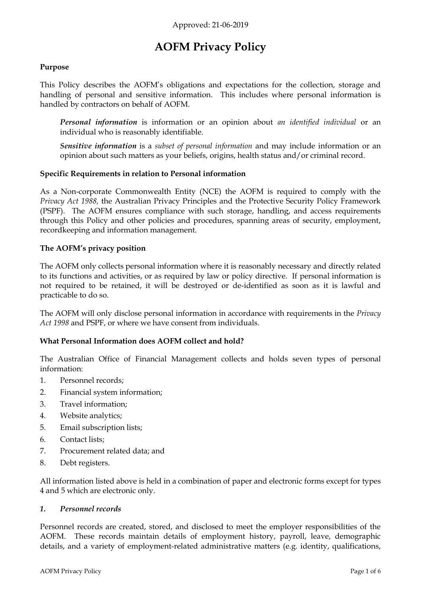# **AOFM Privacy Policy**

## **Purpose**

This Policy describes the AOFM's obligations and expectations for the collection, storage and handling of personal and sensitive information. This includes where personal information is handled by contractors on behalf of AOFM.

*Personal information* is information or an opinion about *an identified individual* or an individual who is reasonably identifiable.

*Sensitive information* is a *subset of personal information* and may include information or an opinion about such matters as your beliefs, origins, health status and/or criminal record.

## **Specific Requirements in relation to Personal information**

As a Non-corporate Commonwealth Entity (NCE) the AOFM is required to comply with the *Privacy Act 1988,* the Australian Privacy Principles and the Protective Security Policy Framework (PSPF). The AOFM ensures compliance with such storage, handling, and access requirements through this Policy and other policies and procedures, spanning areas of security, employment, recordkeeping and information management.

## **The AOFM's privacy position**

The AOFM only collects personal information where it is reasonably necessary and directly related to its functions and activities, or as required by law or policy directive. If personal information is not required to be retained, it will be destroyed or de-identified as soon as it is lawful and practicable to do so.

The AOFM will only disclose personal information in accordance with requirements in the *Privacy Act 1998* and PSPF, or where we have consent from individuals.

## **What Personal Information does AOFM collect and hold?**

The Australian Office of Financial Management collects and holds seven types of personal information:

- 1. Personnel records;
- 2. Financial system information;
- 3. Travel information;
- 4. Website analytics;
- 5. Email subscription lists;
- 6. Contact lists;
- 7. Procurement related data; and
- 8. Debt registers.

All information listed above is held in a combination of paper and electronic forms except for types 4 and 5 which are electronic only.

## *1. Personnel records*

Personnel records are created, stored, and disclosed to meet the employer responsibilities of the AOFM. These records maintain details of employment history, payroll, leave, demographic details, and a variety of employment-related administrative matters (e.g. identity, qualifications,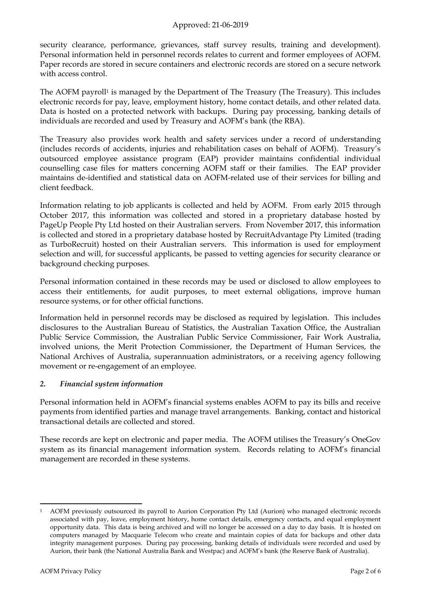## Approved: 21-06-2019

security clearance, performance, grievances, staff survey results, training and development). Personal information held in personnel records relates to current and former employees of AOFM. Paper records are stored in secure containers and electronic records are stored on a secure network with access control.

The AOFM payroll<sup>1</sup> is managed by the Department of The Treasury (The Treasury). This includes electronic records for pay, leave, employment history, home contact details, and other related data. Data is hosted on a protected network with backups. During pay processing, banking details of individuals are recorded and used by Treasury and AOFM's bank (the RBA).

The Treasury also provides work health and safety services under a record of understanding (includes records of accidents, injuries and rehabilitation cases on behalf of AOFM). Treasury's outsourced employee assistance program (EAP) provider maintains confidential individual counselling case files for matters concerning AOFM staff or their families. The EAP provider maintains de-identified and statistical data on AOFM-related use of their services for billing and client feedback.

Information relating to job applicants is collected and held by AOFM. From early 2015 through October 2017, this information was collected and stored in a proprietary database hosted by PageUp People Pty Ltd hosted on their Australian servers. From November 2017, this information is collected and stored in a proprietary database hosted by RecruitAdvantage Pty Limited (trading as TurboRecruit) hosted on their Australian servers. This information is used for employment selection and will, for successful applicants, be passed to vetting agencies for security clearance or background checking purposes.

Personal information contained in these records may be used or disclosed to allow employees to access their entitlements, for audit purposes, to meet external obligations, improve human resource systems, or for other official functions.

Information held in personnel records may be disclosed as required by legislation. This includes disclosures to the Australian Bureau of Statistics, the Australian Taxation Office, the Australian Public Service Commission, the Australian Public Service Commissioner, Fair Work Australia, involved unions, the Merit Protection Commissioner, the Department of Human Services, the National Archives of Australia, superannuation administrators, or a receiving agency following movement or re-engagement of an employee.

## *2. Financial system information*

Personal information held in AOFM's financial systems enables AOFM to pay its bills and receive payments from identified parties and manage travel arrangements. Banking, contact and historical transactional details are collected and stored.

These records are kept on electronic and paper media. The AOFM utilises the Treasury's OneGov system as its financial management information system. Records relating to AOFM's financial management are recorded in these systems.

 $\overline{a}$ <sup>1</sup> AOFM previously outsourced its payroll to Aurion Corporation Pty Ltd (Aurion) who managed electronic records associated with pay, leave, employment history, home contact details, emergency contacts, and equal employment opportunity data. This data is being archived and will no longer be accessed on a day to day basis. It is hosted on computers managed by Macquarie Telecom who create and maintain copies of data for backups and other data integrity management purposes. During pay processing, banking details of individuals were recorded and used by Aurion, their bank (the National Australia Bank and Westpac) and AOFM's bank (the Reserve Bank of Australia).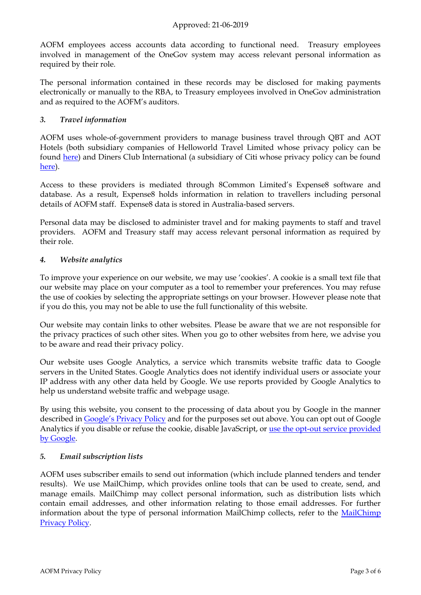AOFM employees access accounts data according to functional need. Treasury employees involved in management of the OneGov system may access relevant personal information as required by their role.

The personal information contained in these records may be disclosed for making payments electronically or manually to the RBA, to Treasury employees involved in OneGov administration and as required to the AOFM's auditors.

## *3. Travel information*

AOFM uses whole-of-government providers to manage business travel through QBT and AOT Hotels (both subsidiary companies of Helloworld Travel Limited whose privacy policy can be found [here\)](https://www.helloworldlimited.com.au/wp-content/uploads/2018/08/Privacy-Policy.pdf) and Diners Club International (a subsidiary of Citi whose privacy policy can be found [here\)](https://www.citigroup.com/australia/privacy/policy.html).

Access to these providers is mediated through 8Common Limited's Expense8 software and database. As a result, Expense8 holds information in relation to travellers including personal details of AOFM staff. Expense8 data is stored in Australia-based servers.

Personal data may be disclosed to administer travel and for making payments to staff and travel providers. AOFM and Treasury staff may access relevant personal information as required by their role.

## *4. Website analytics*

To improve your experience on our website, we may use 'cookies'. A cookie is a small text file that our website may place on your computer as a tool to remember your preferences. You may refuse the use of cookies by selecting the appropriate settings on your browser. However please note that if you do this, you may not be able to use the full functionality of this website.

Our website may contain links to other websites. Please be aware that we are not responsible for the privacy practices of such other sites. When you go to other websites from here, we advise you to be aware and read their privacy policy.

Our website uses Google Analytics, a service which transmits website traffic data to Google servers in the United States. Google Analytics does not identify individual users or associate your IP address with any other data held by Google. We use reports provided by Google Analytics to help us understand website traffic and webpage usage.

By using this website, you consent to the processing of data about you by Google in the manner described in [Google's Privacy Policy](https://policies.google.com/privacy?hl=en) and for the purposes set out above. You can opt out of Google Analytics if you disable or refuse the cookie, disable JavaScript, or [use the opt-out service provided](https://tools.google.com/dlpage/gaoptout)  [by Google.](https://tools.google.com/dlpage/gaoptout)

## *5. Email subscription lists*

AOFM uses subscriber emails to send out information (which include planned tenders and tender results). We use MailChimp, which provides online tools that can be used to create, send, and manage emails. MailChimp may collect personal information, such as distribution lists which contain email addresses, and other information relating to those email addresses. For further information about the type of personal information [MailChimp](http://mailchimp.com/legal/privacy/) collects, refer to the MailChimp [Privacy Policy.](http://mailchimp.com/legal/privacy/)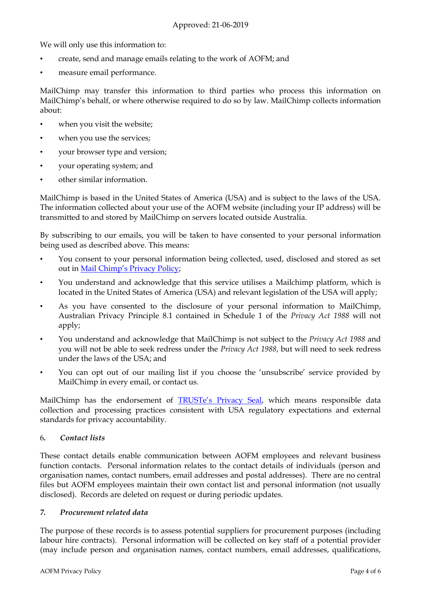We will only use this information to:

- create, send and manage emails relating to the work of AOFM; and
- measure email performance.

MailChimp may transfer this information to third parties who process this information on MailChimp's behalf, or where otherwise required to do so by law. MailChimp collects information about:

- when you visit the website;
- when you use the services;
- your browser type and version;
- your operating system; and
- other similar information.

MailChimp is based in the United States of America (USA) and is subject to the laws of the USA. The information collected about your use of the AOFM website (including your IP address) will be transmitted to and stored by MailChimp on servers located outside Australia.

By subscribing to our emails, you will be taken to have consented to your personal information being used as described above. This means:

- You consent to your personal information being collected, used, disclosed and stored as set out in Mail C[himp's Privacy Policy](http://mailchimp.com/legal/privacy/);
- You understand and acknowledge that this service utilises a Mailchimp platform, which is located in the United States of America (USA) and relevant legislation of the USA will apply;
- As you have consented to the disclosure of your personal information to MailChimp, Australian Privacy Principle 8.1 contained in Schedule 1 of the *Privacy Act 1988* will not apply;
- You understand and acknowledge that MailChimp is not subject to the *Privacy Act 1988* and you will not be able to seek redress under the *Privacy Act 1988*, but will need to seek redress under the laws of the USA; and
- You can opt out of our mailing list if you choose the 'unsubscribe' service provided by MailChimp in every email, or contact us.

MailChimp has the endorsement of **[TRUSTe's Privacy Seal](https://www.trustarc.com/privacy-certification-standards/)**, which means responsible data collection and processing practices consistent with USA regulatory expectations and external standards for privacy accountability.

# 6*. Contact lists*

These contact details enable communication between AOFM employees and relevant business function contacts. Personal information relates to the contact details of individuals (person and organisation names, contact numbers, email addresses and postal addresses). There are no central files but AOFM employees maintain their own contact list and personal information (not usually disclosed). Records are deleted on request or during periodic updates.

# *7. Procurement related data*

The purpose of these records is to assess potential suppliers for procurement purposes (including labour hire contracts). Personal information will be collected on key staff of a potential provider (may include person and organisation names, contact numbers, email addresses, qualifications,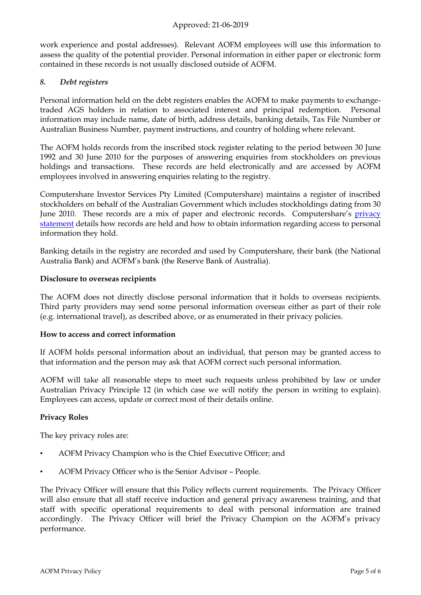## Approved: 21-06-2019

work experience and postal addresses). Relevant AOFM employees will use this information to assess the quality of the potential provider. Personal information in either paper or electronic form contained in these records is not usually disclosed outside of AOFM.

## *8. Debt registers*

Personal information held on the debt registers enables the AOFM to make payments to exchangetraded AGS holders in relation to associated interest and principal redemption. Personal information may include name, date of birth, address details, banking details, Tax File Number or Australian Business Number, payment instructions, and country of holding where relevant.

The AOFM holds records from the inscribed stock register relating to the period between 30 June 1992 and 30 June 2010 for the purposes of answering enquiries from stockholders on previous holdings and transactions. These records are held electronically and are accessed by AOFM employees involved in answering enquiries relating to the registry.

Computershare Investor Services Pty Limited (Computershare) maintains a register of inscribed stockholders on behalf of the Australian Government which includes stockholdings dating from 30 June 2010. These records are a mix of paper and electronic records. Computershare's [privacy](https://www.computershare.com/au/privacy-policies)  [statement](https://www.computershare.com/au/privacy-policies) details how records are held and how to obtain information regarding access to personal information they hold.

Banking details in the registry are recorded and used by Computershare, their bank (the National Australia Bank) and AOFM's bank (the Reserve Bank of Australia).

#### **Disclosure to overseas recipients**

The AOFM does not directly disclose personal information that it holds to overseas recipients. Third party providers may send some personal information overseas either as part of their role (e.g. international travel), as described above, or as enumerated in their privacy policies.

#### **How to access and correct information**

If AOFM holds personal information about an individual, that person may be granted access to that information and the person may ask that AOFM correct such personal information.

AOFM will take all reasonable steps to meet such requests unless prohibited by law or under Australian Privacy Principle 12 (in which case we will notify the person in writing to explain). Employees can access, update or correct most of their details online.

## **Privacy Roles**

The key privacy roles are:

- AOFM Privacy Champion who is the Chief Executive Officer; and
- AOFM Privacy Officer who is the Senior Advisor People.

The Privacy Officer will ensure that this Policy reflects current requirements. The Privacy Officer will also ensure that all staff receive induction and general privacy awareness training, and that staff with specific operational requirements to deal with personal information are trained accordingly. The Privacy Officer will brief the Privacy Champion on the AOFM's privacy performance.